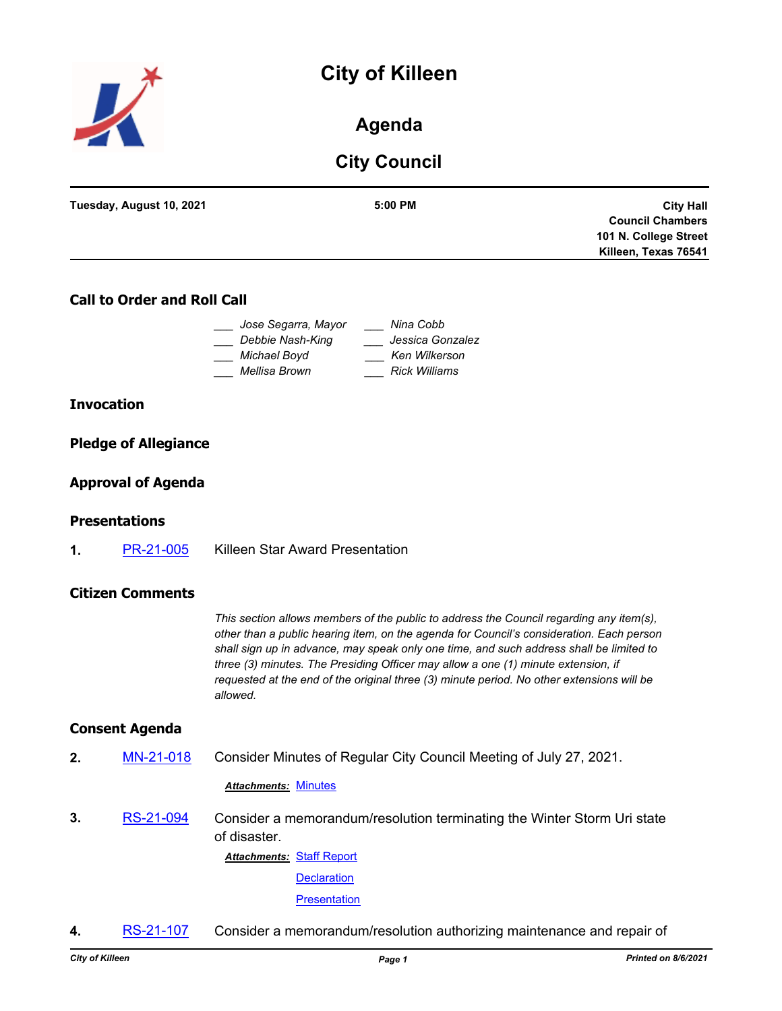# **City of Killeen**



# **Agenda**

# **City Council**

| Tuesday, August 10, 2021 | 5:00 PM | <b>City Hall</b>        |
|--------------------------|---------|-------------------------|
|                          |         | <b>Council Chambers</b> |
|                          |         | 101 N. College Street   |
|                          |         | Killeen, Texas 76541    |
|                          |         |                         |

## **Call to Order and Roll Call**

| Jose Segarra, Mayor | Nina Cobb            |
|---------------------|----------------------|
| Debbie Nash-King    | Jessica Gonzalez     |
| Michael Boyd        | Ken Wilkerson        |
| Mellisa Brown       | <b>Rick Williams</b> |

#### **Invocation**

### **Pledge of Allegiance**

### **Approval of Agenda**

#### **Presentations**

**1.** [PR-21-005](http://killeen.legistar.com/gateway.aspx?m=l&id=/matter.aspx?key=5582) Killeen Star Award Presentation

#### **Citizen Comments**

*This section allows members of the public to address the Council regarding any item(s), other than a public hearing item, on the agenda for Council's consideration. Each person shall sign up in advance, may speak only one time, and such address shall be limited to three (3) minutes. The Presiding Officer may allow a one (1) minute extension, if requested at the end of the original three (3) minute period. No other extensions will be allowed.*

#### **Consent Agenda**

**2.** [MN-21-018](http://killeen.legistar.com/gateway.aspx?m=l&id=/matter.aspx?key=5620) Consider Minutes of Regular City Council Meeting of July 27, 2021.

#### *Attachments:* [Minutes](http://killeen.legistar.com/gateway.aspx?M=F&ID=3c3420df-c086-4f2e-b00f-f57891e0c562.pdf)

**3.** [RS-21-094](http://killeen.legistar.com/gateway.aspx?m=l&id=/matter.aspx?key=5559) Consider a memorandum/resolution terminating the Winter Storm Uri state of disaster.

> **Attachments: [Staff Report](http://killeen.legistar.com/gateway.aspx?M=F&ID=4f9919c9-c1dd-402e-83f0-a3f6dd1f5174.pdf) [Declaration](http://killeen.legistar.com/gateway.aspx?M=F&ID=4cdef8a0-0700-4165-8f7e-af95e1a94c65.pdf) [Presentation](http://killeen.legistar.com/gateway.aspx?M=F&ID=15cf3333-5e8c-4d49-a55c-24ad31c4e44c.pdf)**

**4.** [RS-21-107](http://killeen.legistar.com/gateway.aspx?m=l&id=/matter.aspx?key=5609) Consider a memorandum/resolution authorizing maintenance and repair of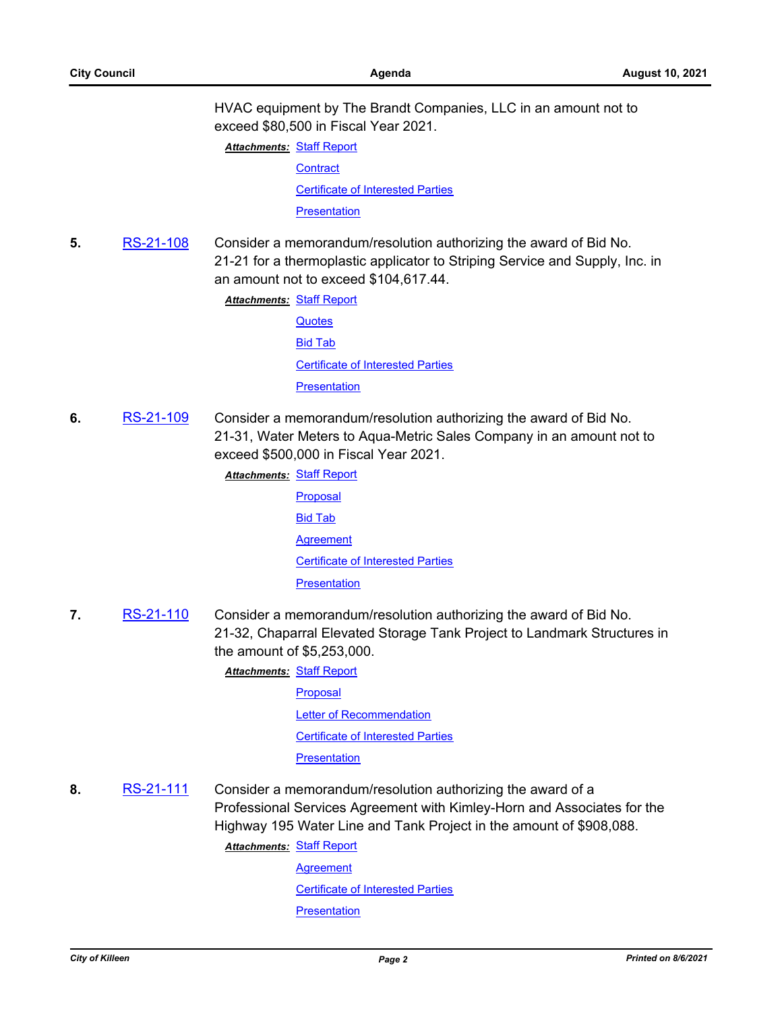HVAC equipment by The Brandt Companies, LLC in an amount not to exceed \$80,500 in Fiscal Year 2021.

**Attachments: [Staff Report](http://killeen.legistar.com/gateway.aspx?M=F&ID=7ed7094c-2728-4739-8378-c3935c1ec5af.pdf) [Contract](http://killeen.legistar.com/gateway.aspx?M=F&ID=cbb7a990-02cc-44db-bb6b-787537dc019e.pdf)** [Certificate of Interested Parties](http://killeen.legistar.com/gateway.aspx?M=F&ID=4de8b945-9cc4-4dcf-924d-d3dfe6a9b318.pdf) **[Presentation](http://killeen.legistar.com/gateway.aspx?M=F&ID=ba825cf4-30e8-464e-9ba1-0242fc30231f.pdf)** 

**5.** [RS-21-108](http://killeen.legistar.com/gateway.aspx?m=l&id=/matter.aspx?key=5611) Consider a memorandum/resolution authorizing the award of Bid No. 21-21 for a thermoplastic applicator to Striping Service and Supply, Inc. in an amount not to exceed \$104,617.44.

**Attachments: [Staff Report](http://killeen.legistar.com/gateway.aspx?M=F&ID=61f064d4-ddb1-42c9-9b9d-0be7d9196007.pdf)** 

**[Quotes](http://killeen.legistar.com/gateway.aspx?M=F&ID=462f1cd8-81e5-452b-9d24-0b3c27d604c1.pdf)** [Bid Tab](http://killeen.legistar.com/gateway.aspx?M=F&ID=accabf2a-bb74-4fd4-8705-5e43944a71c9.pdf) [Certificate of Interested Parties](http://killeen.legistar.com/gateway.aspx?M=F&ID=8febcd93-bad1-4258-b516-9e70aa1221af.pdf) **[Presentation](http://killeen.legistar.com/gateway.aspx?M=F&ID=ff2460ee-fb74-4895-a879-49fde268c835.pdf)** 

**6.** [RS-21-109](http://killeen.legistar.com/gateway.aspx?m=l&id=/matter.aspx?key=5590) Consider a memorandum/resolution authorizing the award of Bid No. 21-31, Water Meters to Aqua-Metric Sales Company in an amount not to exceed \$500,000 in Fiscal Year 2021.

**Attachments: [Staff Report](http://killeen.legistar.com/gateway.aspx?M=F&ID=21f299fd-8d10-4afc-96d4-cdc7fbdfaf1e.pdf)** 

- [Proposal](http://killeen.legistar.com/gateway.aspx?M=F&ID=865a0c4f-5630-40cf-95de-9a6a1588138a.pdf) [Bid Tab](http://killeen.legistar.com/gateway.aspx?M=F&ID=2a293b48-4f4c-41e7-9ae3-9f6e9ffc589c.pdf) **[Agreement](http://killeen.legistar.com/gateway.aspx?M=F&ID=040e2a00-7c9a-4ec0-97df-4819c24e6226.pdf)** [Certificate of Interested Parties](http://killeen.legistar.com/gateway.aspx?M=F&ID=32d7a1bc-ac1d-4789-a698-b8464d7f870a.pdf) **[Presentation](http://killeen.legistar.com/gateway.aspx?M=F&ID=0a943caa-e024-4cc4-94c6-dd72dee0f969.pdf)**
- **7.** [RS-21-110](http://killeen.legistar.com/gateway.aspx?m=l&id=/matter.aspx?key=5622) Consider a memorandum/resolution authorizing the award of Bid No. 21-32, Chaparral Elevated Storage Tank Project to Landmark Structures in the amount of \$5,253,000.

**Attachments: [Staff Report](http://killeen.legistar.com/gateway.aspx?M=F&ID=dc912c2e-fe6e-4905-9986-c8a47ecbaa60.pdf)** 

[Proposal](http://killeen.legistar.com/gateway.aspx?M=F&ID=fc69f8bd-549f-42c3-85fd-8347698f3b0f.pdf)

**[Letter of Recommendation](http://killeen.legistar.com/gateway.aspx?M=F&ID=337e7683-6518-4b23-a67a-4bd8552937ef.pdf)** 

[Certificate of Interested Parties](http://killeen.legistar.com/gateway.aspx?M=F&ID=4cc490bc-054e-4fb0-be48-88e018960f67.pdf)

**[Presentation](http://killeen.legistar.com/gateway.aspx?M=F&ID=0b8d2523-b3ed-415d-9948-6487eb1bf738.pdf)** 

**8.** [RS-21-111](http://killeen.legistar.com/gateway.aspx?m=l&id=/matter.aspx?key=5623) Consider a memorandum/resolution authorizing the award of a Professional Services Agreement with Kimley-Horn and Associates for the Highway 195 Water Line and Tank Project in the amount of \$908,088.

**Attachments: [Staff Report](http://killeen.legistar.com/gateway.aspx?M=F&ID=c815539b-0082-4ae5-8cf4-1c3017f15d6e.pdf)** 

**[Agreement](http://killeen.legistar.com/gateway.aspx?M=F&ID=65f99917-78ac-4c46-8473-ea5b8616c487.pdf)** [Certificate of Interested Parties](http://killeen.legistar.com/gateway.aspx?M=F&ID=bf376e11-502b-4d3e-a811-495d7c4243d1.pdf) **[Presentation](http://killeen.legistar.com/gateway.aspx?M=F&ID=cf3a5496-9c86-4621-b476-960d8583a89b.pdf)**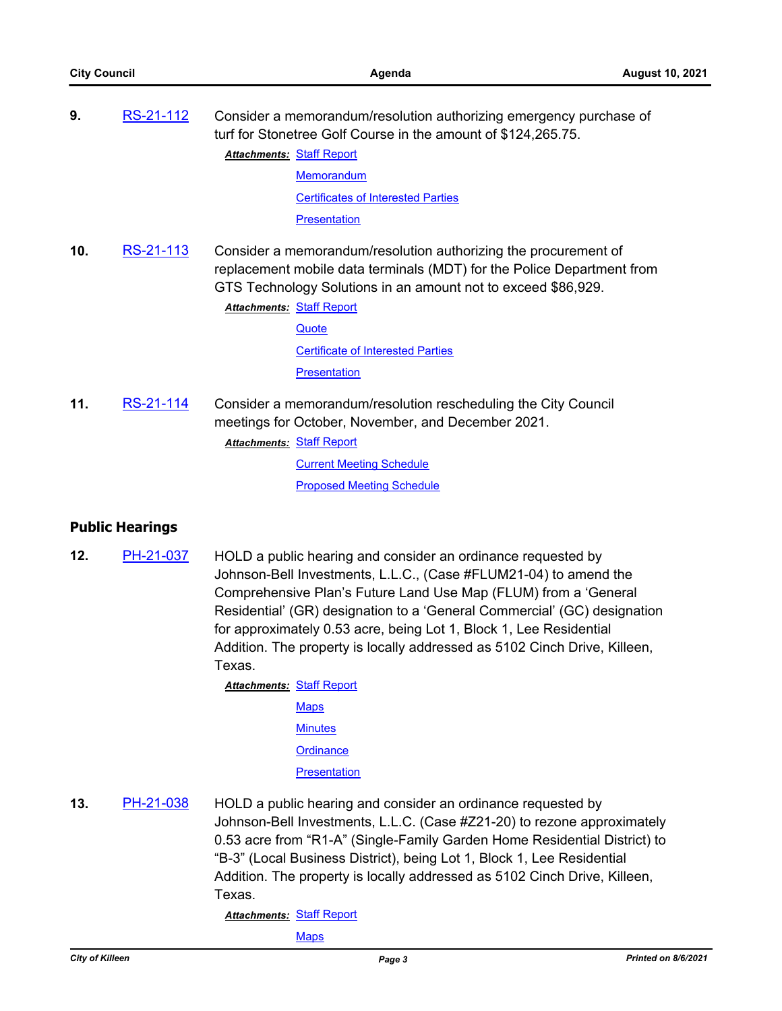| 9.  | RS-21-112              | Consider a memorandum/resolution authorizing emergency purchase of<br>turf for Stonetree Golf Course in the amount of \$124,265.75.                                                                                                                                                                                                                                                                                                                                              |
|-----|------------------------|----------------------------------------------------------------------------------------------------------------------------------------------------------------------------------------------------------------------------------------------------------------------------------------------------------------------------------------------------------------------------------------------------------------------------------------------------------------------------------|
|     |                        | <b>Attachments: Staff Report</b>                                                                                                                                                                                                                                                                                                                                                                                                                                                 |
|     |                        | Memorandum                                                                                                                                                                                                                                                                                                                                                                                                                                                                       |
|     |                        | <b>Certificates of Interested Parties</b>                                                                                                                                                                                                                                                                                                                                                                                                                                        |
|     |                        | Presentation                                                                                                                                                                                                                                                                                                                                                                                                                                                                     |
| 10. | <u>RS-21-113</u>       | Consider a memorandum/resolution authorizing the procurement of<br>replacement mobile data terminals (MDT) for the Police Department from<br>GTS Technology Solutions in an amount not to exceed \$86,929.<br><b>Attachments: Staff Report</b>                                                                                                                                                                                                                                   |
|     |                        | Quote                                                                                                                                                                                                                                                                                                                                                                                                                                                                            |
|     |                        | <b>Certificate of Interested Parties</b>                                                                                                                                                                                                                                                                                                                                                                                                                                         |
|     |                        | <b>Presentation</b>                                                                                                                                                                                                                                                                                                                                                                                                                                                              |
| 11. | RS-21-114              | Consider a memorandum/resolution rescheduling the City Council<br>meetings for October, November, and December 2021.<br><b>Attachments: Staff Report</b>                                                                                                                                                                                                                                                                                                                         |
|     |                        | <b>Current Meeting Schedule</b>                                                                                                                                                                                                                                                                                                                                                                                                                                                  |
|     |                        | <b>Proposed Meeting Schedule</b>                                                                                                                                                                                                                                                                                                                                                                                                                                                 |
|     | <b>Public Hearings</b> |                                                                                                                                                                                                                                                                                                                                                                                                                                                                                  |
| 12. | PH-21-037              | HOLD a public hearing and consider an ordinance requested by<br>Johnson-Bell Investments, L.L.C., (Case #FLUM21-04) to amend the<br>Comprehensive Plan's Future Land Use Map (FLUM) from a 'General<br>Residential' (GR) designation to a 'General Commercial' (GC) designation<br>for approximately 0.53 acre, being Lot 1, Block 1, Lee Residential<br>Addition. The property is locally addressed as 5102 Cinch Drive, Killeen,<br>Texas.<br><b>Attachments: Staff Report</b> |

**[Maps](http://killeen.legistar.com/gateway.aspx?M=F&ID=8a5e728d-fd4e-4c15-ba5d-e167f923f470.pdf) [Minutes](http://killeen.legistar.com/gateway.aspx?M=F&ID=825d7ca9-60c9-4feb-96e0-a6451534b049.pdf) [Ordinance](http://killeen.legistar.com/gateway.aspx?M=F&ID=203750d9-7413-4945-a99a-b0d2d0b93846.pdf) [Presentation](http://killeen.legistar.com/gateway.aspx?M=F&ID=74130290-315b-449b-b2fb-9036820a56dc.pdf)** 

**13.** [PH-21-038](http://killeen.legistar.com/gateway.aspx?m=l&id=/matter.aspx?key=5573) HOLD a public hearing and consider an ordinance requested by Johnson-Bell Investments, L.L.C. (Case #Z21-20) to rezone approximately 0.53 acre from "R1-A" (Single-Family Garden Home Residential District) to "B-3" (Local Business District), being Lot 1, Block 1, Lee Residential Addition. The property is locally addressed as 5102 Cinch Drive, Killeen, Texas.

**Attachments: [Staff Report](http://killeen.legistar.com/gateway.aspx?M=F&ID=7a0f0f49-3880-4528-9e7c-7249bf22bf7e.pdf)** 

[Maps](http://killeen.legistar.com/gateway.aspx?M=F&ID=8ff908c5-fbfc-4dc9-84e9-a950c6ab269d.pdf)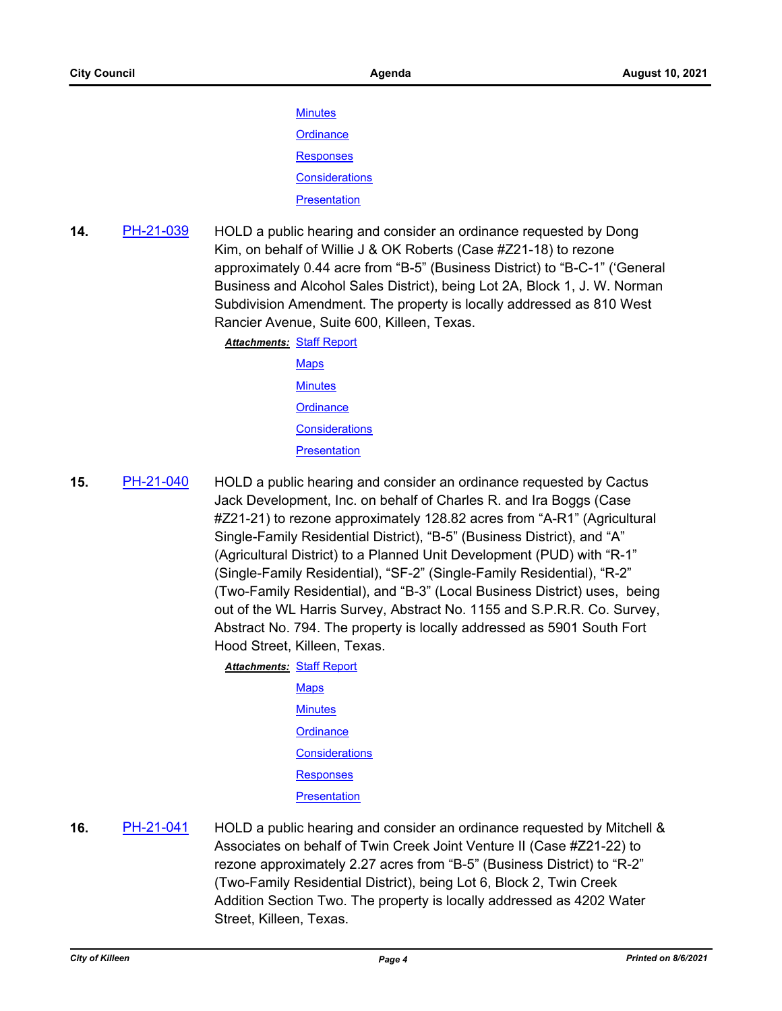**[Minutes](http://killeen.legistar.com/gateway.aspx?M=F&ID=d78c0b63-4933-444b-ba0a-5af15c7a83cc.pdf) [Ordinance](http://killeen.legistar.com/gateway.aspx?M=F&ID=7dc10725-e661-4627-9770-439d7548a8ed.pdf) [Responses](http://killeen.legistar.com/gateway.aspx?M=F&ID=857f714b-1590-4cb0-8a1f-379fe9eba1b7.pdf) [Considerations](http://killeen.legistar.com/gateway.aspx?M=F&ID=e1ed9377-acfc-4a8a-b00b-edf2de22512b.pdf) [Presentation](http://killeen.legistar.com/gateway.aspx?M=F&ID=60e6a7e7-7870-461a-9201-86d0ce6bd0f1.pdf)** 

**14.** [PH-21-039](http://killeen.legistar.com/gateway.aspx?m=l&id=/matter.aspx?key=5571) HOLD a public hearing and consider an ordinance requested by Dong Kim, on behalf of Willie J & OK Roberts (Case #Z21-18) to rezone approximately 0.44 acre from "B-5" (Business District) to "B-C-1" ('General Business and Alcohol Sales District), being Lot 2A, Block 1, J. W. Norman Subdivision Amendment. The property is locally addressed as 810 West Rancier Avenue, Suite 600, Killeen, Texas.

> **Attachments: [Staff Report](http://killeen.legistar.com/gateway.aspx?M=F&ID=0e06b62b-ab65-42f0-883f-988fe86bc5b2.pdf) [Maps](http://killeen.legistar.com/gateway.aspx?M=F&ID=8c46db9b-f3da-4399-ad38-2441c4d5ce2d.pdf) [Minutes](http://killeen.legistar.com/gateway.aspx?M=F&ID=aa6fc3d6-7727-40ea-90ac-a419456a35e3.pdf) [Ordinance](http://killeen.legistar.com/gateway.aspx?M=F&ID=6be5d682-6727-4f71-a9ad-117ef28e9165.pdf) [Considerations](http://killeen.legistar.com/gateway.aspx?M=F&ID=a7cfa9c3-4205-44b1-8587-35f2ba37eba5.pdf) [Presentation](http://killeen.legistar.com/gateway.aspx?M=F&ID=66c63385-8544-40d3-96de-913735f9c8ec.pdf)**

**15.** [PH-21-040](http://killeen.legistar.com/gateway.aspx?m=l&id=/matter.aspx?key=5574) HOLD a public hearing and consider an ordinance requested by Cactus Jack Development, Inc. on behalf of Charles R. and Ira Boggs (Case #Z21-21) to rezone approximately 128.82 acres from "A-R1" (Agricultural Single-Family Residential District), "B-5" (Business District), and "A" (Agricultural District) to a Planned Unit Development (PUD) with "R-1" (Single-Family Residential), "SF-2" (Single-Family Residential), "R-2" (Two-Family Residential), and "B-3" (Local Business District) uses, being out of the WL Harris Survey, Abstract No. 1155 and S.P.R.R. Co. Survey, Abstract No. 794. The property is locally addressed as 5901 South Fort Hood Street, Killeen, Texas.

> **Attachments: [Staff Report](http://killeen.legistar.com/gateway.aspx?M=F&ID=e296bb79-c778-4d81-b125-96bce4439171.pdf) [Maps](http://killeen.legistar.com/gateway.aspx?M=F&ID=8e822547-728e-4c91-9026-9023652c8e95.pdf) [Minutes](http://killeen.legistar.com/gateway.aspx?M=F&ID=f236975e-a896-462a-8622-bdcce3b9a168.pdf) [Ordinance](http://killeen.legistar.com/gateway.aspx?M=F&ID=f8665b95-2df1-4d3c-8d16-cb154d15411a.pdf) [Considerations](http://killeen.legistar.com/gateway.aspx?M=F&ID=eaa2504a-f42e-42b9-99e1-96f318bd5548.pdf) [Responses](http://killeen.legistar.com/gateway.aspx?M=F&ID=22941b48-c423-40b5-b36c-28c45bd24f22.pdf) [Presentation](http://killeen.legistar.com/gateway.aspx?M=F&ID=8040f4da-8ccf-4147-ba9e-1c9baa077024.pdf)**

**16.** [PH-21-041](http://killeen.legistar.com/gateway.aspx?m=l&id=/matter.aspx?key=5575) HOLD a public hearing and consider an ordinance requested by Mitchell & Associates on behalf of Twin Creek Joint Venture II (Case #Z21-22) to rezone approximately 2.27 acres from "B-5" (Business District) to "R-2" (Two-Family Residential District), being Lot 6, Block 2, Twin Creek Addition Section Two. The property is locally addressed as 4202 Water Street, Killeen, Texas.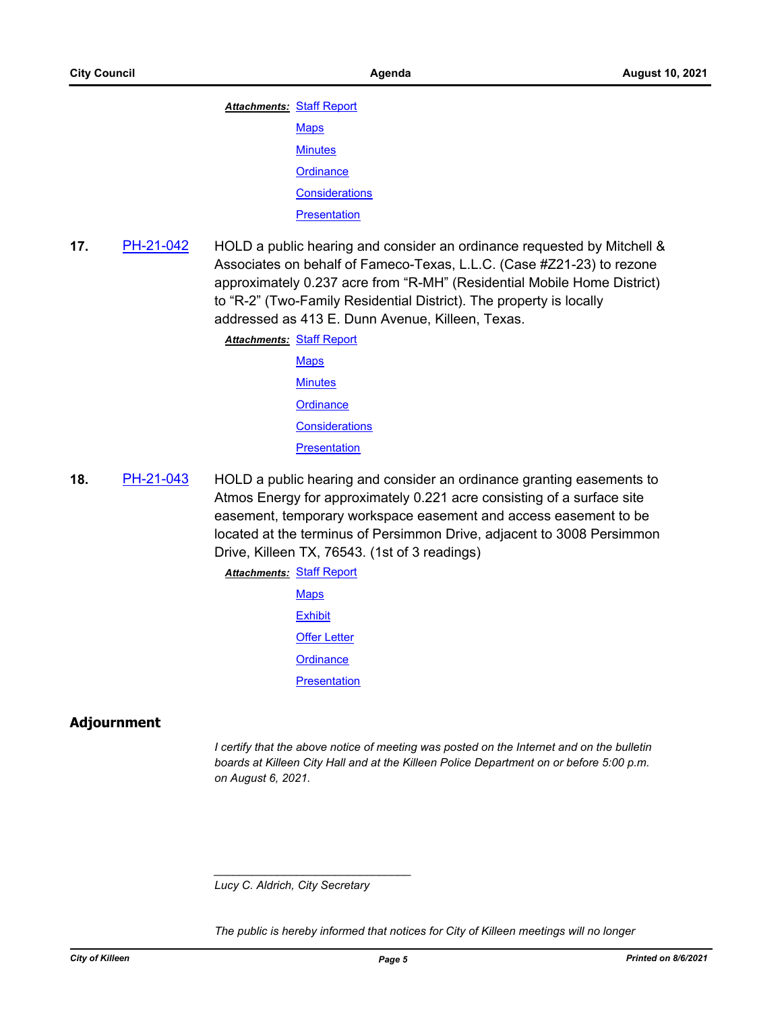| <b>Attachments: Staff Report</b> |                       |
|----------------------------------|-----------------------|
|                                  | <b>Maps</b>           |
|                                  | <b>Minutes</b>        |
|                                  | Ordinance             |
|                                  | <b>Considerations</b> |
|                                  | <b>Presentation</b>   |

**17.** [PH-21-042](http://killeen.legistar.com/gateway.aspx?m=l&id=/matter.aspx?key=5576) HOLD a public hearing and consider an ordinance requested by Mitchell & Associates on behalf of Fameco-Texas, L.L.C. (Case #Z21-23) to rezone approximately 0.237 acre from "R-MH" (Residential Mobile Home District) to "R-2" (Two-Family Residential District). The property is locally addressed as 413 E. Dunn Avenue, Killeen, Texas.

> **Attachments: [Staff Report](http://killeen.legistar.com/gateway.aspx?M=F&ID=244efb22-34fc-4e11-923c-66c95aaf2268.pdf) [Maps](http://killeen.legistar.com/gateway.aspx?M=F&ID=db1a1d12-84fc-4eca-ad80-3f47e33315e2.pdf) [Minutes](http://killeen.legistar.com/gateway.aspx?M=F&ID=50868b31-7a99-44f5-a1fe-702d932ee4f8.pdf) [Ordinance](http://killeen.legistar.com/gateway.aspx?M=F&ID=36e18175-837d-4acf-90af-d49814a9ac64.pdf) [Considerations](http://killeen.legistar.com/gateway.aspx?M=F&ID=e771ab85-fd6a-456a-9c39-6571f16df4de.pdf) [Presentation](http://killeen.legistar.com/gateway.aspx?M=F&ID=c3073a9a-8916-47ae-88b8-9ad5c26ca5b4.pdf)**

**18.** [PH-21-043](http://killeen.legistar.com/gateway.aspx?m=l&id=/matter.aspx?key=5627) HOLD a public hearing and consider an ordinance granting easements to Atmos Energy for approximately 0.221 acre consisting of a surface site easement, temporary workspace easement and access easement to be located at the terminus of Persimmon Drive, adjacent to 3008 Persimmon Drive, Killeen TX, 76543. (1st of 3 readings)

**Attachments: [Staff Report](http://killeen.legistar.com/gateway.aspx?M=F&ID=994bcbbe-af8f-4de0-8033-956bd1b22453.pdf)** 

**[Maps](http://killeen.legistar.com/gateway.aspx?M=F&ID=fd93a5df-91aa-4b78-895c-e96587131f11.pdf) [Exhibit](http://killeen.legistar.com/gateway.aspx?M=F&ID=f6cb8c0b-7a09-48a5-b8c6-99472d80a201.pdf)** [Offer Letter](http://killeen.legistar.com/gateway.aspx?M=F&ID=33fda0b4-dfeb-4c1f-bd0b-8dda1d08ab17.pdf) **[Ordinance](http://killeen.legistar.com/gateway.aspx?M=F&ID=8b3d10ea-d68d-410a-8eb4-8b30037c0072.pdf) [Presentation](http://killeen.legistar.com/gateway.aspx?M=F&ID=4c73084e-4b7c-4919-8669-00a089ca0a76.pdf)** 

# **Adjournment**

*I* certify that the above notice of meeting was posted on the Internet and on the bulletin *boards at Killeen City Hall and at the Killeen Police Department on or before 5:00 p.m. on August 6, 2021.*

*Lucy C. Aldrich, City Secretary* 

*\_\_\_\_\_\_\_\_\_\_\_\_\_\_\_\_\_\_\_\_\_\_\_\_\_\_\_\_\_\_\_*

*The public is hereby informed that notices for City of Killeen meetings will no longer*